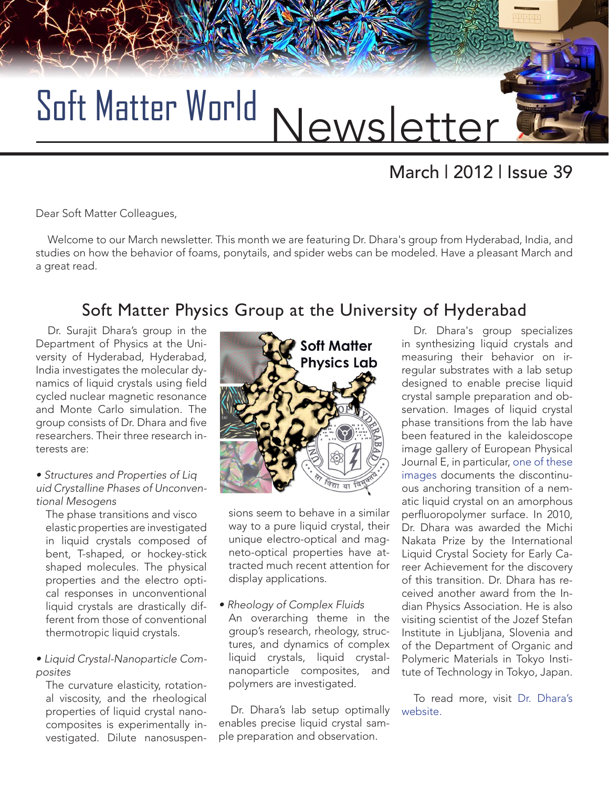

# March | 2012 | Issue 39

Dear Soft Matter Colleagues,

Welcome to our March newsletter. This month we are featuring Dr. Dhara's group from Hyderabad, India, and studies on how the behavior of foams, ponytails, and spider webs can be modeled. Have a pleasant March and a great read.

### Soft Matter Physics Group at the University of Hyderabad

Dr. Surajit Dhara's group in the Department of Physics at the University of Hyderabad, Hyderabad, India investigates the molecular dynamics of liquid crystals using field cycled nuclear magnetic resonance and Monte Carlo simulation. The group consists of Dr. Dhara and five researchers. Their three research interests are:

#### • Structures and Properties of Liq uid Crystalline Phases of Unconventional Mesogens

The phase transitions and visco elastic properties are investigated in liquid crystals composed of bent, T-shaped, or hockey-stick shaped molecules. The physical properties and the electro optical responses in unconventional liquid crystals are drastically different from those of conventional thermotropic liquid crystals.

• Liquid Crystal-Nanoparticle Composites

The curvature elasticity, rotational viscosity, and the rheological properties of liquid crystal nanocomposites is experimentally investigated. Dilute nanosuspen-



sions seem to behave in a similar way to a pure liquid crystal, their unique electro-optical and magneto-optical properties have attracted much recent attention for display applications.

#### • Rheology of Complex Fluids An overarching theme in the group's research, rheology, structures, and dynamics of complex liquid crystals, liquid crystalnanoparticle composites, and polymers are investigated.

Dr. Dhara's lab setup optimally enables precise liquid crystal sample preparation and observation.

Dr. Dhara's group specializes in synthesizing liquid crystals and measuring their behavior on irregular substrates with a lab setup designed to enable precise liquid crystal sample preparation and observation. Images of liquid crystal phase transitions from the lab have been featured in the kaleidoscope image gallery of European Physical Journal E, in particular, [one of these](http://pre.aps.org/node/2801)  [images](http://pre.aps.org/node/2801) documents the discontinuous anchoring transition of a nematic liquid crystal on an amorphous perfluoropolymer surface. In 2010, Dr. Dhara was awarded the Michi Nakata Prize by the International Liquid Crystal Society for Early Career Achievement for the discovery of this transition. Dr. Dhara has received another award from the Indian Physics Association. He is also visiting scientist of the Jozef Stefan Institute in Ljubljana, Slovenia and of the Department of Organic and Polymeric Materials in Tokyo Institute of Technology in Tokyo, Japan.

To read more, visit [Dr. Dhara's](http://www.surajitdhara.in/index.html) [website.](http://www.surajitdhara.in/index.html)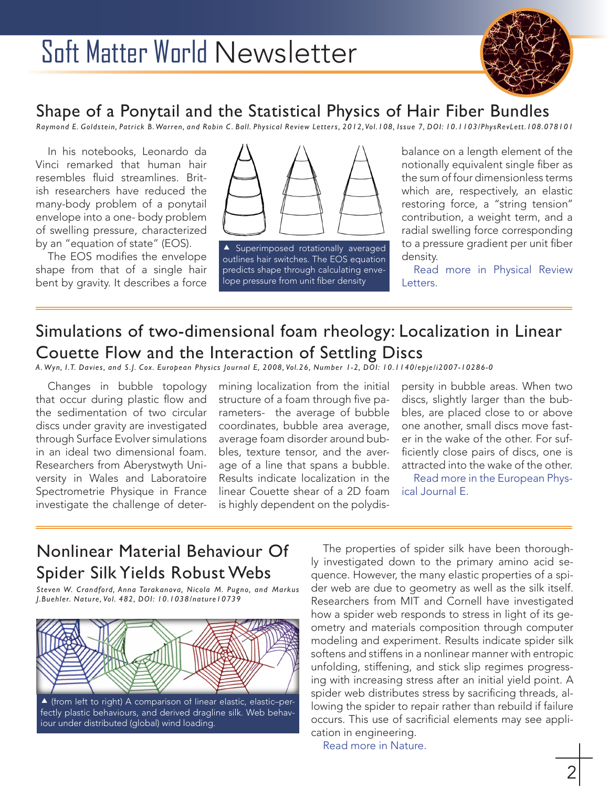

#### Shape of a Ponytail and the Statistical Physics of Hair Fiber Bundles

*Raymond E. Goldstein, Patrick B. Warren, and Robin C . Ball. Physical Review Letters, 2012, Vol.108, Issue 7, DOI: 10.1103/PhysRevLett.108.078101*

In his notebooks, Leonardo da Vinci remarked that human hair resembles fluid streamlines. British researchers have reduced the many-body problem of a ponytail envelope into a one- body problem of swelling pressure, characterized by an "equation of state" (EOS).

The EOS modifies the envelope shape from that of a single hair bent by gravity. It describes a force



**A** Superimposed rotationally averaged outlines hair switches. The EOS equation predicts shape through calculating envelope pressure from unit fiber density

balance on a length element of the notionally equivalent single fiber as the sum of four dimensionless terms which are, respectively, an elastic restoring force, a "string tension" contribution, a weight term, and a radial swelling force corresponding to a pressure gradient per unit fiber density.

[Read more in Physical Review](http://prl.aps.org/abstract/PRL/v108/i7/e078101) [Letters.](http://prl.aps.org/abstract/PRL/v108/i7/e078101) 

# Simulations of two-dimensional foam rheology: Localization in Linear Couette Flow and the Interaction of Settling Discs

*A. Wyn, I.T. Davies, and S.J. Cox. European Physics Journal E, 2008, Vol.26, Number 1-2, DOI: 10.1140/epje/i2007-10286-0*

Changes in bubble topology that occur during plastic flow and the sedimentation of two circular discs under gravity are investigated through Surface Evolver simulations in an ideal two dimensional foam. Researchers from Aberystwyth University in Wales and Laboratoire Spectrometrie Physique in France investigate the challenge of determining localization from the initial structure of a foam through five parameters- the average of bubble coordinates, bubble area average, average foam disorder around bubbles, texture tensor, and the average of a line that spans a bubble. Results indicate localization in the linear Couette shear of a 2D foam is highly dependent on the polydispersity in bubble areas. When two discs, slightly larger than the bubbles, are placed close to or above one another, small discs move faster in the wake of the other. For sufficiently close pairs of discs, one is attracted into the wake of the other.

[Read more in the European Phys](http://epje.edpsciences.org/index.php?option=com_article&access=standard&Itemid=129&url=/articles/epje/abs/2008/05/10189_2008_Article_7209/10189_2008_Article_7209.html)[ical Journal E.](http://epje.edpsciences.org/index.php?option=com_article&access=standard&Itemid=129&url=/articles/epje/abs/2008/05/10189_2008_Article_7209/10189_2008_Article_7209.html)

## Nonlinear Material Behaviour Of Spider Silk Yields Robust Webs

*Steven W. Crandford, Anna Tarakanova, Nicola M. Pugno, and Markus J.Buehler. Nature, Vol. 482, DOI: 10.1038/nature10739*



 (from left to right) A comparison of linear elastic, elastic–perfectly plastic behaviours, and derived dragline silk. Web behaviour under distributed (global) wind loading.

The properties of spider silk have been thoroughly investigated down to the primary amino acid sequence. However, the many elastic properties of a spider web are due to geometry as well as the silk itself. Researchers from MIT and Cornell have investigated how a spider web responds to stress in light of its geometry and materials composition through computer modeling and experiment. Results indicate spider silk softens and stiffens in a nonlinear manner with entropic unfolding, stiffening, and stick slip regimes progressing with increasing stress after an initial yield point. A spider web distributes stress by sacrificing threads, allowing the spider to repair rather than rebuild if failure occurs. This use of sacrificial elements may see application in engineering.

[Read more in Nature.](http://www.nature.com/nature/journal/v482/n7383/full/nature10739.html)